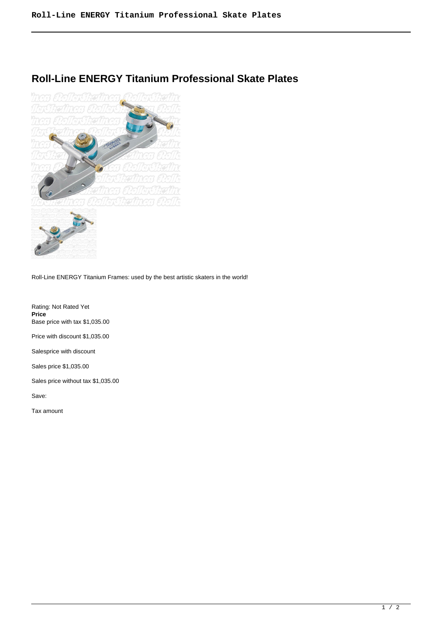## **Roll-Line ENERGY Titanium Professional Skate Plates**



Roll-Line ENERGY Titanium Frames: used by the best artistic skaters in the world!

Rating: Not Rated Yet **Price**  Base price with tax \$1,035.00

Price with discount \$1,035.00

Salesprice with discount

Sales price \$1,035.00

Sales price without tax \$1,035.00

Save:

Tax amount